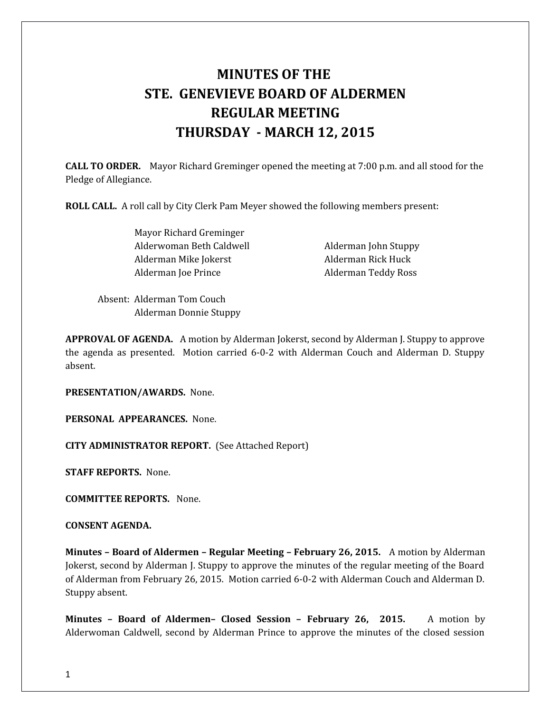# **MINUTES OF THE STE. GENEVIEVE BOARD OF ALDERMEN REGULAR MEETING THURSDAY - MARCH 12, 2015**

**CALL TO ORDER.** Mayor Richard Greminger opened the meeting at 7:00 p.m. and all stood for the Pledge of Allegiance.

**ROLL CALL.** A roll call by City Clerk Pam Meyer showed the following members present:

 Mayor Richard Greminger Alderwoman Beth Caldwell **Alderman John Stuppy** Alderman Mike Jokerst **Alderman Rick Huck** Alderman Joe Prince **Alderman Teddy Ross** 

Absent: Alderman Tom Couch Alderman Donnie Stuppy

**APPROVAL OF AGENDA.** A motion by Alderman Jokerst, second by Alderman J. Stuppy to approve the agenda as presented. Motion carried 6-0-2 with Alderman Couch and Alderman D. Stuppy absent.

**PRESENTATION/AWARDS.** None.

**PERSONAL APPEARANCES.** None.

**CITY ADMINISTRATOR REPORT.** (See Attached Report)

**STAFF REPORTS.** None.

**COMMITTEE REPORTS.** None.

**CONSENT AGENDA.** 

**Minutes – Board of Aldermen – Regular Meeting – February 26, 2015.** A motion by Alderman Jokerst, second by Alderman J. Stuppy to approve the minutes of the regular meeting of the Board of Alderman from February 26, 2015. Motion carried 6-0-2 with Alderman Couch and Alderman D. Stuppy absent.

**Minutes – Board of Aldermen– Closed Session – February 26, 2015.** A motion by Alderwoman Caldwell, second by Alderman Prince to approve the minutes of the closed session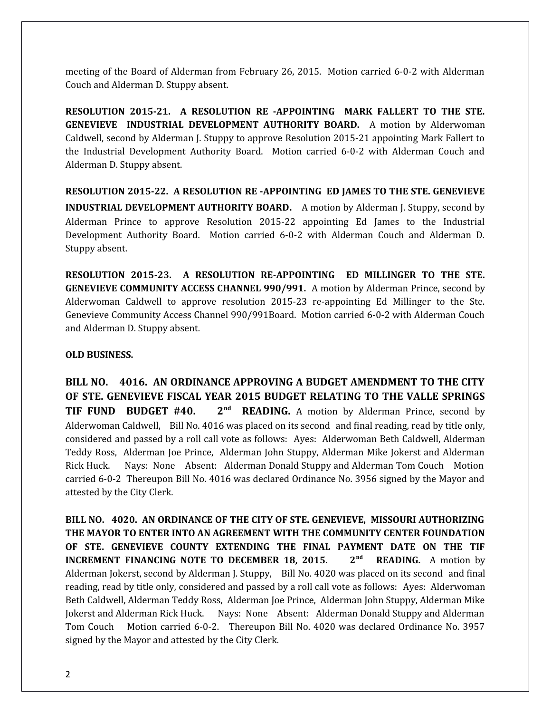meeting of the Board of Alderman from February 26, 2015. Motion carried 6-0-2 with Alderman Couch and Alderman D. Stuppy absent.

**RESOLUTION 2015-21. A RESOLUTION RE -APPOINTING MARK FALLERT TO THE STE. GENEVIEVE INDUSTRIAL DEVELOPMENT AUTHORITY BOARD.** A motion by Alderwoman Caldwell, second by Alderman J. Stuppy to approve Resolution 2015-21 appointing Mark Fallert to the Industrial Development Authority Board. Motion carried 6-0-2 with Alderman Couch and Alderman D. Stuppy absent.

**RESOLUTION 2015-22. A RESOLUTION RE -APPOINTING ED JAMES TO THE STE. GENEVIEVE INDUSTRIAL DEVELOPMENT AUTHORITY BOARD**. A motion by Alderman J. Stuppy, second by Alderman Prince to approve Resolution 2015-22 appointing Ed James to the Industrial Development Authority Board. Motion carried 6-0-2 with Alderman Couch and Alderman D. Stuppy absent.

**RESOLUTION 2015-23. A RESOLUTION RE-APPOINTING ED MILLINGER TO THE STE. GENEVIEVE COMMUNITY ACCESS CHANNEL 990/991.** A motion by Alderman Prince, second by Alderwoman Caldwell to approve resolution 2015-23 re-appointing Ed Millinger to the Ste. Genevieve Community Access Channel 990/991Board. Motion carried 6-0-2 with Alderman Couch and Alderman D. Stuppy absent.

## **OLD BUSINESS.**

**BILL NO. 4016. AN ORDINANCE APPROVING A BUDGET AMENDMENT TO THE CITY OF STE. GENEVIEVE FISCAL YEAR 2015 BUDGET RELATING TO THE VALLE SPRINGS TIF FUND BUDGET #40. 2nd READING.** A motion by Alderman Prince, second by Alderwoman Caldwell, Bill No. 4016 was placed on its second and final reading, read by title only, considered and passed by a roll call vote as follows: Ayes: Alderwoman Beth Caldwell, Alderman Teddy Ross, Alderman Joe Prince, Alderman John Stuppy, Alderman Mike Jokerst and Alderman Rick Huck. Nays: None Absent: Alderman Donald Stuppy and Alderman Tom Couch Motion carried 6-0-2 Thereupon Bill No. 4016 was declared Ordinance No. 3956 signed by the Mayor and attested by the City Clerk.

**BILL NO. 4020. AN ORDINANCE OF THE CITY OF STE. GENEVIEVE, MISSOURI AUTHORIZING THE MAYOR TO ENTER INTO AN AGREEMENT WITH THE COMMUNITY CENTER FOUNDATION OF STE. GENEVIEVE COUNTY EXTENDING THE FINAL PAYMENT DATE ON THE TIF INCREMENT FINANCING NOTE TO DECEMBER 18, 2015. 2<sup>nd</sup> READING.** A motion by Alderman Jokerst, second by Alderman J. Stuppy, Bill No. 4020 was placed on its second and final reading, read by title only, considered and passed by a roll call vote as follows: Ayes: Alderwoman Beth Caldwell, Alderman Teddy Ross, Alderman Joe Prince, Alderman John Stuppy, Alderman Mike Jokerst and Alderman Rick Huck. Nays: None Absent: Alderman Donald Stuppy and Alderman Tom Couch Motion carried 6-0-2. Thereupon Bill No. 4020 was declared Ordinance No. 3957 signed by the Mayor and attested by the City Clerk.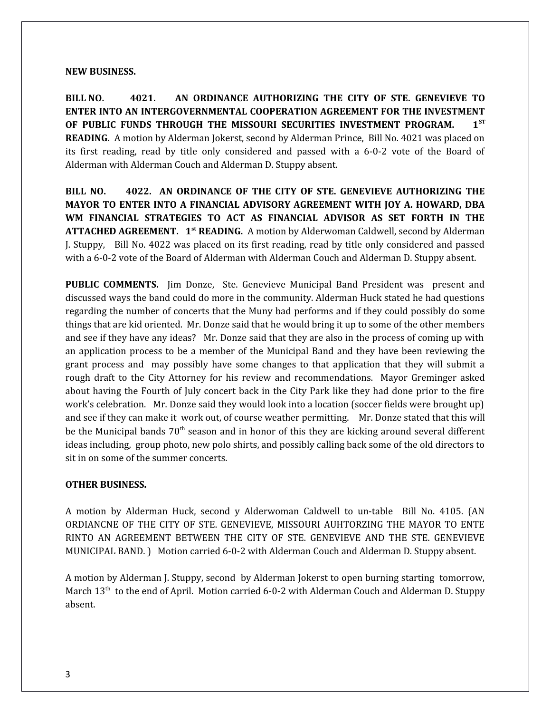#### **NEW BUSINESS.**

**BILL NO. 4021. AN ORDINANCE AUTHORIZING THE CITY OF STE. GENEVIEVE TO ENTER INTO AN INTERGOVERNMENTAL COOPERATION AGREEMENT FOR THE INVESTMENT OF PUBLIC FUNDS THROUGH THE MISSOURI SECURITIES INVESTMENT PROGRAM. 1ST READING.** A motion by Alderman Jokerst, second by Alderman Prince, Bill No. 4021 was placed on its first reading, read by title only considered and passed with a 6-0-2 vote of the Board of Alderman with Alderman Couch and Alderman D. Stuppy absent.

**BILL NO. 4022. AN ORDINANCE OF THE CITY OF STE. GENEVIEVE AUTHORIZING THE MAYOR TO ENTER INTO A FINANCIAL ADVISORY AGREEMENT WITH JOY A. HOWARD, DBA WM FINANCIAL STRATEGIES TO ACT AS FINANCIAL ADVISOR AS SET FORTH IN THE ATTACHED AGREEMENT. 1st READING.** A motion by Alderwoman Caldwell, second by Alderman J. Stuppy, Bill No. 4022 was placed on its first reading, read by title only considered and passed with a 6-0-2 vote of the Board of Alderman with Alderman Couch and Alderman D. Stuppy absent.

**PUBLIC COMMENTS.** Jim Donze, Ste. Genevieve Municipal Band President was present and discussed ways the band could do more in the community. Alderman Huck stated he had questions regarding the number of concerts that the Muny bad performs and if they could possibly do some things that are kid oriented. Mr. Donze said that he would bring it up to some of the other members and see if they have any ideas? Mr. Donze said that they are also in the process of coming up with an application process to be a member of the Municipal Band and they have been reviewing the grant process and may possibly have some changes to that application that they will submit a rough draft to the City Attorney for his review and recommendations. Mayor Greminger asked about having the Fourth of July concert back in the City Park like they had done prior to the fire work's celebration. Mr. Donze said they would look into a location (soccer fields were brought up) and see if they can make it work out, of course weather permitting. Mr. Donze stated that this will be the Municipal bands  $70<sup>th</sup>$  season and in honor of this they are kicking around several different ideas including, group photo, new polo shirts, and possibly calling back some of the old directors to sit in on some of the summer concerts.

#### **OTHER BUSINESS.**

A motion by Alderman Huck, second y Alderwoman Caldwell to un-table Bill No. 4105. (AN ORDIANCNE OF THE CITY OF STE. GENEVIEVE, MISSOURI AUHTORZING THE MAYOR TO ENTE RINTO AN AGREEMENT BETWEEN THE CITY OF STE. GENEVIEVE AND THE STE. GENEVIEVE MUNICIPAL BAND. ) Motion carried 6-0-2 with Alderman Couch and Alderman D. Stuppy absent.

A motion by Alderman J. Stuppy, second by Alderman Jokerst to open burning starting tomorrow, March 13<sup>th</sup> to the end of April. Motion carried 6-0-2 with Alderman Couch and Alderman D. Stuppy absent.